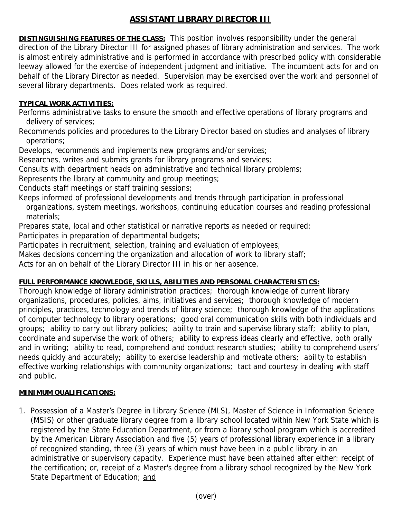## **ASSISTANT LIBRARY DIRECTOR III**

**DISTINGUISHING FEATURES OF THE CLASS:** This position involves responsibility under the general direction of the Library Director III for assigned phases of library administration and services. The work is almost entirely administrative and is performed in accordance with prescribed policy with considerable leeway allowed for the exercise of independent judgment and initiative. The incumbent acts for and on behalf of the Library Director as needed. Supervision may be exercised over the work and personnel of several library departments. Does related work as required.

## **TYPICAL WORK ACTIVITIES:**

Performs administrative tasks to ensure the smooth and effective operations of library programs and delivery of services;

Recommends policies and procedures to the Library Director based on studies and analyses of library operations;

Develops, recommends and implements new programs and/or services;

Researches, writes and submits grants for library programs and services;

Consults with department heads on administrative and technical library problems;

Represents the library at community and group meetings;

Conducts staff meetings or staff training sessions;

Keeps informed of professional developments and trends through participation in professional

 organizations, system meetings, workshops, continuing education courses and reading professional materials;

Prepares state, local and other statistical or narrative reports as needed or required;

Participates in preparation of departmental budgets;

Participates in recruitment, selection, training and evaluation of employees;

Makes decisions concerning the organization and allocation of work to library staff;

Acts for an on behalf of the Library Director III in his or her absence.

## **FULL PERFORMANCE KNOWLEDGE, SKILLS, ABILITIES AND PERSONAL CHARACTERISTICS:**

Thorough knowledge of library administration practices; thorough knowledge of current library organizations, procedures, policies, aims, initiatives and services; thorough knowledge of modern principles, practices, technology and trends of library science; thorough knowledge of the applications of computer technology to library operations; good oral communication skills with both individuals and groups; ability to carry out library policies; ability to train and supervise library staff; ability to plan, coordinate and supervise the work of others; ability to express ideas clearly and effective, both orally and in writing; ability to read, comprehend and conduct research studies; ability to comprehend users' needs quickly and accurately; ability to exercise leadership and motivate others; ability to establish effective working relationships with community organizations; tact and courtesy in dealing with staff and public.

## **MINIMUM QUALIFICATIONS:**

1. Possession of a Master's Degree in Library Science (MLS), Master of Science in Information Science (MSIS) or other graduate library degree from a library school located within New York State which is registered by the State Education Department, or from a library school program which is accredited by the American Library Association and five (5) years of professional library experience in a library of recognized standing, three (3) years of which must have been in a public library in an administrative or supervisory capacity. Experience must have been attained after either: receipt of the certification; or, receipt of a Master's degree from a library school recognized by the New York State Department of Education; and